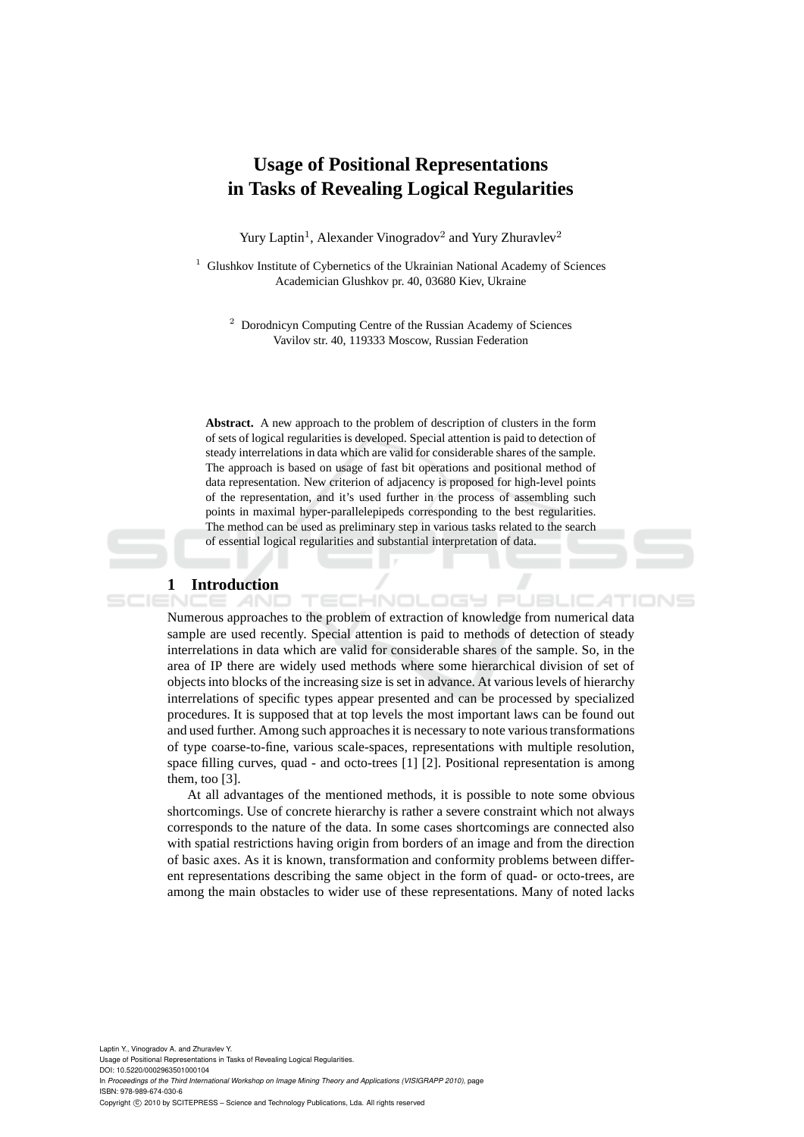# **Usage of Positional Representations in Tasks of Revealing Logical Regularities**

Yury Laptin<sup>1</sup>, Alexander Vinogradov<sup>2</sup> and Yury Zhuravlev<sup>2</sup>

 $1$  Glushkov Institute of Cybernetics of the Ukrainian National Academy of Sciences Academician Glushkov pr. 40, 03680 Kiev, Ukraine

<sup>2</sup> Dorodnicyn Computing Centre of the Russian Academy of Sciences Vavilov str. 40, 119333 Moscow, Russian Federation

**Abstract.** A new approach to the problem of description of clusters in the form of sets of logical regularities is developed. Special attention is paid to detection of steady interrelations in data which are valid for considerable shares of the sample. The approach is based on usage of fast bit operations and positional method of data representation. New criterion of adjacency is proposed for high-level points of the representation, and it's used further in the process of assembling such points in maximal hyper-parallelepipeds corresponding to the best regularities. The method can be used as preliminary step in various tasks related to the search of essential logical regularities and substantial interpretation of data.

## **1 Introduction**

SCIENCE *A*ND

Numerous approaches to the problem of extraction of knowledge from numerical data sample are used recently. Special attention is paid to methods of detection of steady interrelations in data which are valid for considerable shares of the sample. So, in the area of IP there are widely used methods where some hierarchical division of set of objects into blocks of the increasing size is set in advance. At various levels of hierarchy interrelations of specific types appear presented and can be processed by specialized procedures. It is supposed that at top levels the most important laws can be found out and used further. Among such approaches it is necessary to note various transformations of type coarse-to-fine, various scale-spaces, representations with multiple resolution, space filling curves, quad - and octo-trees [1] [2]. Positional representation is among them, too [3].

**TECHNOLOGY PUBLIC** 

At all advantages of the mentioned methods, it is possible to note some obvious shortcomings. Use of concrete hierarchy is rather a severe constraint which not always corresponds to the nature of the data. In some cases shortcomings are connected also with spatial restrictions having origin from borders of an image and from the direction of basic axes. As it is known, transformation and conformity problems between different representations describing the same object in the form of quad- or octo-trees, are among the main obstacles to wider use of these representations. Many of noted lacks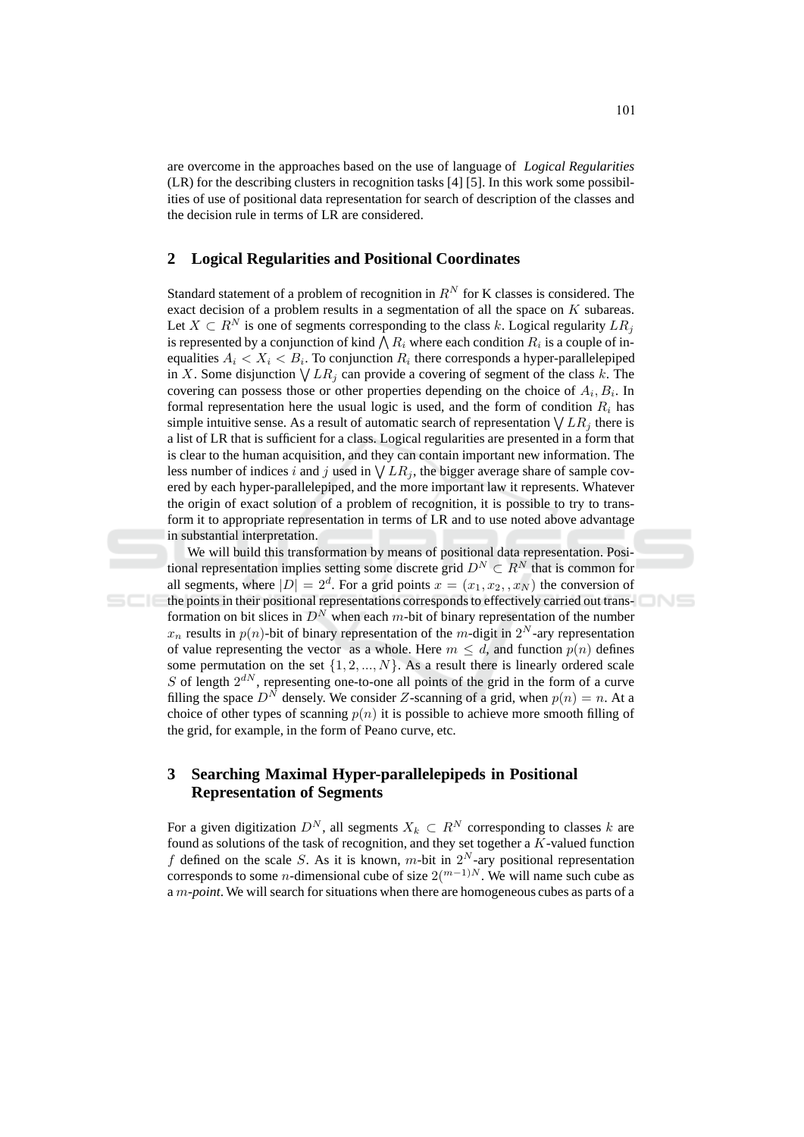are overcome in the approaches based on the use of language of *Logical Regularities* (LR) for the describing clusters in recognition tasks [4] [5]. In this work some possibilities of use of positional data representation for search of description of the classes and the decision rule in terms of LR are considered.

#### **Logical Regularities and Positional Coordinates**  $\boldsymbol{2}$

Standard statement of a problem of recognition in  $R^N$  for K classes is considered. The exact decision of a problem results in a segmentation of all the space on  $K$  subareas. Let  $X \subset R^N$  is one of segments corresponding to the class k. Logical regularity  $LR_i$ is represented by a conjunction of kind  $\bigwedge R_i$  where each condition  $R_i$  is a couple of inequalities  $A_i < X_i < B_i$ . To conjunction  $R_i$  there corresponds a hyper-parallelepiped in X. Some disjunction  $\bigvee LR_i$  can provide a covering of segment of the class k. The covering can possess those or other properties depending on the choice of  $A_i, B_i$ . In formal representation here the usual logic is used, and the form of condition  $R_i$  has simple intuitive sense. As a result of automatic search of representation  $\bigvee LR_i$  there is a list of LR that is sufficient for a class. Logical regularities are presented in a form that is clear to the human acquisition, and they can contain important new information. The less number of indices i and j used in  $\bigvee LR_i$ , the bigger average share of sample covered by each hyper-parallelepiped, and the more important law it represents. Whatever the origin of exact solution of a problem of recognition, it is possible to try to transform it to appropriate representation in terms of LR and to use noted above advantage in substantial interpretation.

We will build this transformation by means of positional data representation. Positional representation implies setting some discrete grid  $D^N \subset R^N$  that is common for all segments, where  $|D| = 2^d$ . For a grid points  $x = (x_1, x_2, x_N)$  the conversion of the points in their positional representations corresponds to effectively carried out transformation on bit slices in  $D^N$  when each m-bit of binary representation of the number  $x_n$  results in  $p(n)$ -bit of binary representation of the m-digit in  $2^N$ -ary representation of value representing the vector as a whole. Here  $m \leq d$ , and function  $p(n)$  defines some permutation on the set  $\{1, 2, ..., N\}$ . As a result there is linearly ordered scale  $S$  of length  $2^{dN}$ , representing one-to-one all points of the grid in the form of a curve filling the space  $D^N$  densely. We consider Z-scanning of a grid, when  $p(n) = n$ . At a choice of other types of scanning  $p(n)$  it is possible to achieve more smooth filling of the grid, for example, in the form of Peano curve, etc.

### $\mathbf{3}$ **Searching Maximal Hyper-parallelepipeds in Positional Representation of Segments**

For a given digitization  $D^N$ , all segments  $X_k \subset R^N$  corresponding to classes k are found as solutions of the task of recognition, and they set together a  $K$ -valued function f defined on the scale S. As it is known, m-bit in  $2^N$ -ary positional representation corresponds to some *n*-dimensional cube of size  $2\binom{m-1}{N}$ . We will name such cube as a m-point. We will search for situations when there are homogeneous cubes as parts of a INS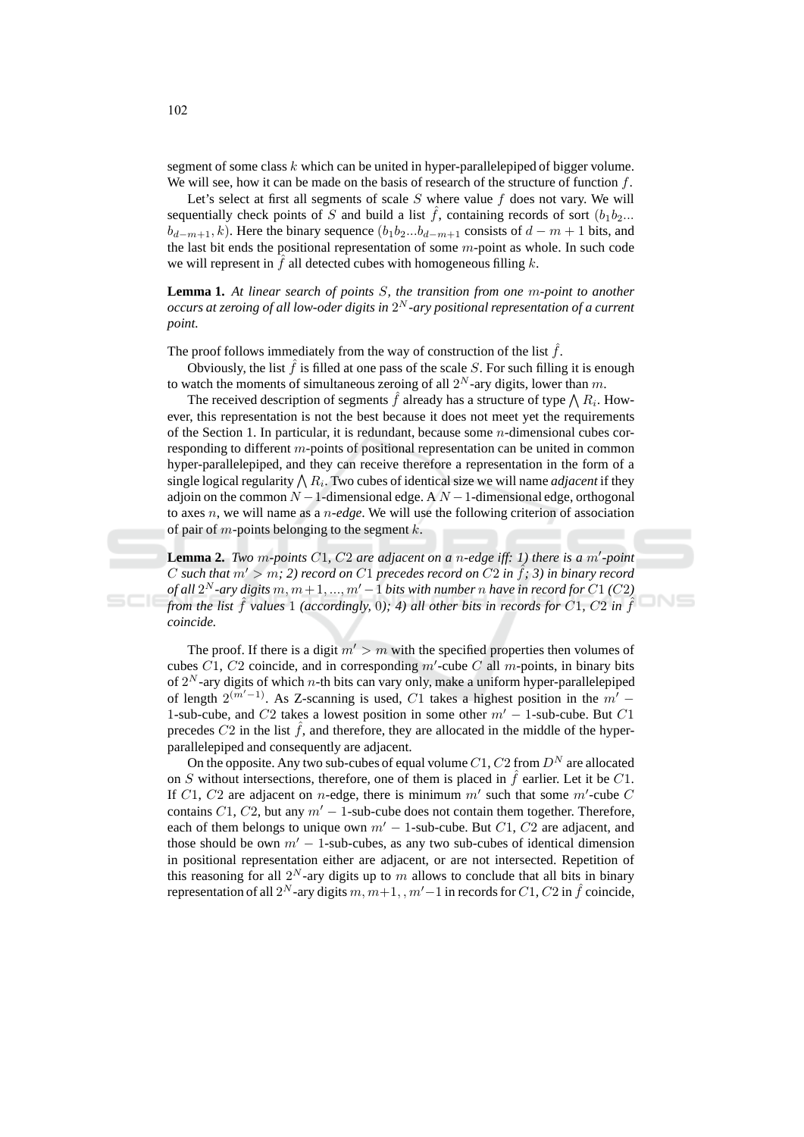segment of some class  $k$  which can be united in hyper-parallelepiped of bigger volume. We will see, how it can be made on the basis of research of the structure of function  $f$ .

Let's select at first all segments of scale  $S$  where value  $f$  does not vary. We will sequentially check points of S and build a list  $\hat{f}$ , containing records of sort  $(b_1b_2...$  $b_{d-m+1}, k$ ). Here the binary sequence  $(b_1b_2...b_{d-m+1}$  consists of  $d-m+1$  bits, and the last bit ends the positional representation of some  $m$ -point as whole. In such code we will represent in  $\hat{f}$  all detected cubes with homogeneous filling  $k$ .

**Lemma 1.** At linear search of points  $S$ , the transition from one m-point to another occurs at zeroing of all low-oder digits in  $2^N$ -ary positional representation of a current point.

The proof follows immediately from the way of construction of the list  $\hat{f}$ .

Obviously, the list  $\hat{f}$  is filled at one pass of the scale S. For such filling it is enough to watch the moments of simultaneous zeroing of all  $2^N$ -ary digits, lower than m.

The received description of segments f already has a structure of type  $\bigwedge R_i$ . However, this representation is not the best because it does not meet yet the requirements of the Section 1. In particular, it is redundant, because some  $n$ -dimensional cubes corresponding to different  $m$ -points of positional representation can be united in common hyper-parallelepiped, and they can receive therefore a representation in the form of a single logical regularity  $\bigwedge R_i$ . Two cubes of identical size we will name *adjacent* if they adjoin on the common  $N-1$ -dimensional edge. A  $N-1$ -dimensional edge, orthogonal to axes  $n$ , we will name as a  $n$ -edge. We will use the following criterion of association of pair of  $m$ -points belonging to the segment  $k$ .

**Lemma 2.** Two m-points C1, C2 are adjacent on a n-edge iff: 1) there is a m'-point C such that  $m' > m$ ; 2) record on C1 precedes record on C2 in  $\hat{f}$ ; 3) in binary record of all  $2^N$ -ary digits  $m, m+1, ..., m'-1$  bits with number n have in record for C1 (C2) from the list  $\hat{f}$  values 1 (accordingly, 0); 4) all other bits in records for C1, C2 in  $\hat{f}$ coincide.

 $N =$ 

The proof. If there is a digit  $m' > m$  with the specified properties then volumes of cubes  $C1$ ,  $C2$  coincide, and in corresponding m'-cube C all m-points, in binary bits of  $2^N$ -ary digits of which *n*-th bits can vary only, make a uniform hyper-parallelepiped of length  $2^{(m'-1)}$ . As Z-scanning is used, C1 takes a highest position in the  $m'$  -1-sub-cube, and  $C2$  takes a lowest position in some other  $m' - 1$ -sub-cube. But  $C1$ precedes  $C2$  in the list  $\hat{f}$ , and therefore, they are allocated in the middle of the hyperparallelepiped and consequently are adjacent.

On the opposite. Any two sub-cubes of equal volume  $C1$ ,  $C2$  from  $D<sup>N</sup>$  are allocated on S without intersections, therefore, one of them is placed in  $\hat{f}$  earlier. Let it be C1. If  $C1$ ,  $C2$  are adjacent on *n*-edge, there is minimum m' such that some m'-cube C contains  $C1$ ,  $C2$ , but any  $m' - 1$ -sub-cube does not contain them together. Therefore, each of them belongs to unique own  $m' - 1$ -sub-cube. But  $C1$ ,  $C2$  are adjacent, and those should be own  $m' - 1$ -sub-cubes, as any two sub-cubes of identical dimension in positional representation either are adjacent, or are not intersected. Repetition of this reasoning for all  $2^N$ -ary digits up to m allows to conclude that all bits in binary representation of all  $2^N$ -ary digits  $m, m+1, m'-1$  in records for  $C1, C2$  in  $\hat{f}$  coincide,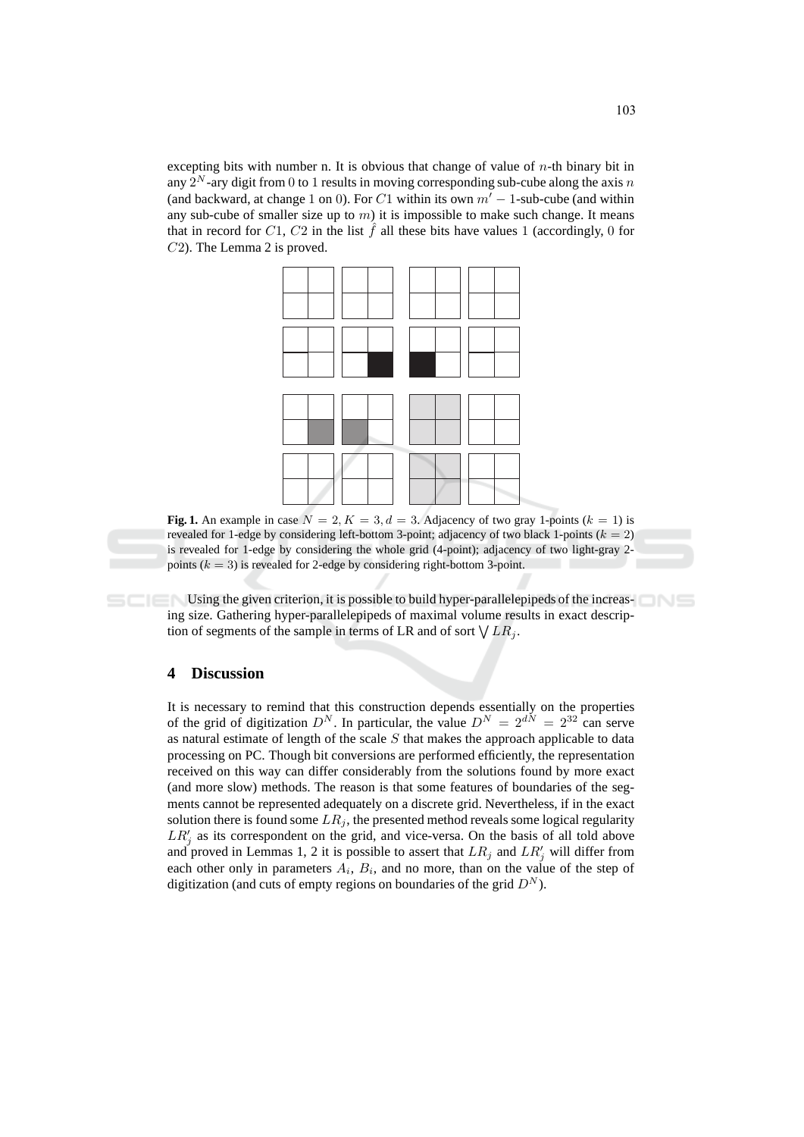excepting bits with number n. It is obvious that change of value of  $n$ -th binary bit in any  $2^N$ -ary digit from 0 to 1 results in moving corresponding sub-cube along the axis n (and backward, at change 1 on 0). For C1 within its own  $m' - 1$ -sub-cube (and within any sub-cube of smaller size up to  $m$ ) it is impossible to make such change. It means that in record for C1, C2 in the list  $\hat{f}$  all these bits have values 1 (accordingly, 0 for  $C2$ ). The Lemma 2 is proved.



Fig. 1. An example in case  $N = 2, K = 3, d = 3$ . Adjacency of two gray 1-points ( $k = 1$ ) is revealed for 1-edge by considering left-bottom 3-point; adjacency of two black 1-points ( $k = 2$ ) is revealed for 1-edge by considering the whole grid (4-point); adjacency of two light-gray 2points ( $k = 3$ ) is revealed for 2-edge by considering right-bottom 3-point.

Using the given criterion, it is possible to build hyper-parallelepipeds of the increasing size. Gathering hyper-parallelepipeds of maximal volume results in exact description of segments of the sample in terms of LR and of sort  $\bigvee LR_i$ .

#### **Discussion**  $\overline{\mathbf{4}}$

It is necessary to remind that this construction depends essentially on the properties of the grid of digitization  $D^N$ . In particular, the value  $D^N = 2^{dN} = 2^{32}$  can serve as natural estimate of length of the scale  $S$  that makes the approach applicable to data processing on PC. Though bit conversions are performed efficiently, the representation received on this way can differ considerably from the solutions found by more exact (and more slow) methods. The reason is that some features of boundaries of the segments cannot be represented adequately on a discrete grid. Nevertheless, if in the exact solution there is found some  $LR_i$ , the presented method reveals some logical regularity  $LR'_i$  as its correspondent on the grid, and vice-versa. On the basis of all told above and proved in Lemmas 1, 2 it is possible to assert that  $LR_i$  and  $LR'_i$  will differ from each other only in parameters  $A_i$ ,  $B_i$ , and no more, than on the value of the step of digitization (and cuts of empty regions on boundaries of the grid  $D^N$ ).